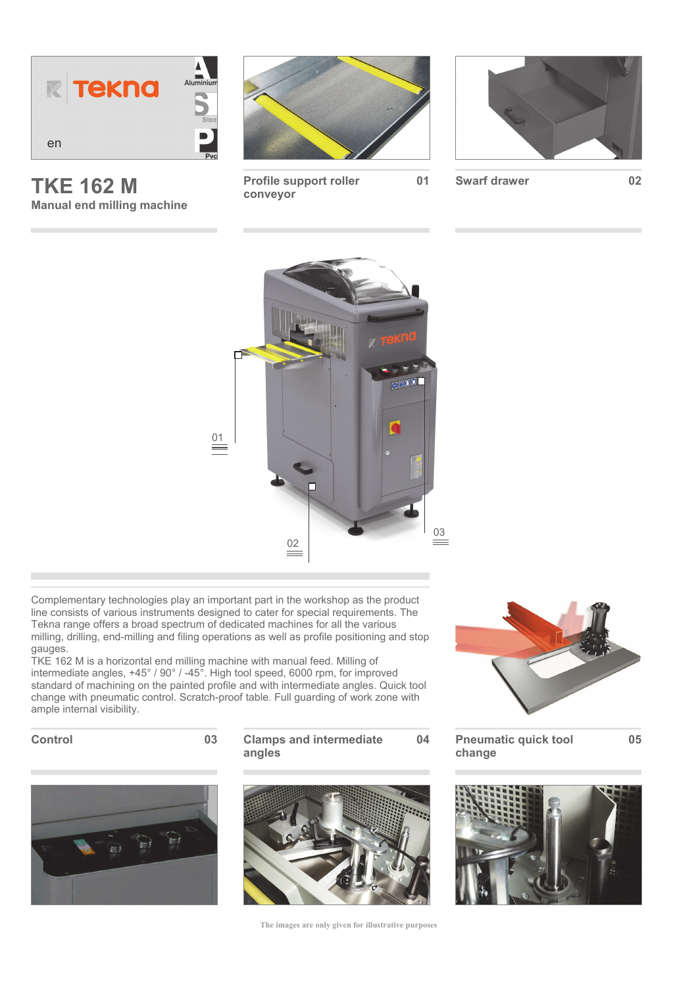

**TKE 162 M Manual end milling machine** 



**Profile support roller conveyor** 



**01 Swarf drawer 02**



Complementary technologies play an important part in the workshop as the product line consists of various instruments designed to cater for special requirements. The Tekna range offers a broad spectrum of dedicated machines for all the various milling, drilling, end-milling and filing operations as well as profile positioning and stop gauges.

TKE 162 M is a horizontal end milling machine with manual feed. Milling of intermediate angles, +45° / 90° / -45°. High tool speed, 6000 rpm, for improved standard of machining on the painted profile and with intermediate angles. Quick tool change with pneumatic control. Scratch-proof table. Full guarding of work zone with ample internal visibility.



**Control 03 Clamps and intermediate angles** 





**The images are only given for illustrative purposes** 



**04 Pneumatic quick tool change** 

**05**